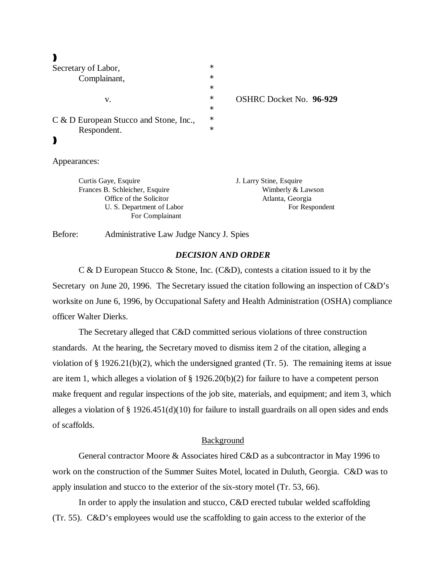| I       |
|---------|
| ۰.<br>i |

| Secretary of Labor,                    |        |                                |
|----------------------------------------|--------|--------------------------------|
| Complainant,                           | $\ast$ |                                |
|                                        | $\ast$ |                                |
| v.                                     | $\ast$ | <b>OSHRC Docket No. 96-929</b> |
|                                        | $\ast$ |                                |
| C & D European Stucco and Stone, Inc., | $\ast$ |                                |
| Respondent.                            | $\ast$ |                                |
|                                        |        |                                |
|                                        |        |                                |

Appearances:

Curtis Gaye, Esquire J. Larry Stine, Esquire Frances B. Schleicher, Esquire Wimberly & Lawson Office of the Solicitor Atlanta, Georgia For Complainant

U. S. Department of Labor For Respondent

Before: Administrative Law Judge Nancy J. Spies

## *DECISION AND ORDER*

C & D European Stucco & Stone, Inc. (C&D), contests a citation issued to it by the Secretary on June 20, 1996. The Secretary issued the citation following an inspection of C&D's worksite on June 6, 1996, by Occupational Safety and Health Administration (OSHA) compliance officer Walter Dierks.

The Secretary alleged that C&D committed serious violations of three construction standards. At the hearing, the Secretary moved to dismiss item 2 of the citation, alleging a violation of  $\S 1926.21(b)(2)$ , which the undersigned granted (Tr. 5). The remaining items at issue are item 1, which alleges a violation of  $\S 1926.20(b)(2)$  for failure to have a competent person make frequent and regular inspections of the job site, materials, and equipment; and item 3, which alleges a violation of  $\S 1926.451(d)(10)$  for failure to install guardrails on all open sides and ends of scaffolds.

## **Background**

General contractor Moore & Associates hired C&D as a subcontractor in May 1996 to work on the construction of the Summer Suites Motel, located in Duluth, Georgia. C&D was to apply insulation and stucco to the exterior of the six-story motel (Tr. 53, 66).

In order to apply the insulation and stucco, C&D erected tubular welded scaffolding (Tr. 55). C&D's employees would use the scaffolding to gain access to the exterior of the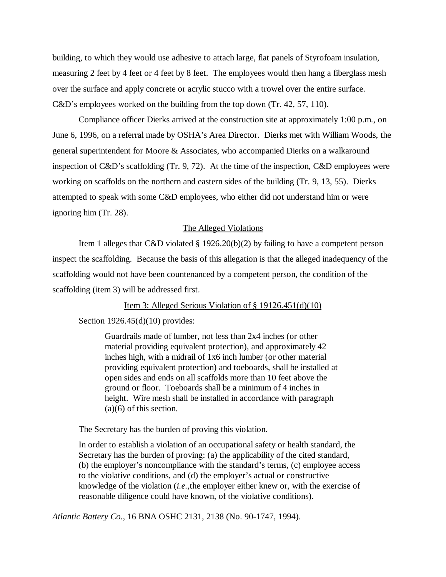building, to which they would use adhesive to attach large, flat panels of Styrofoam insulation, measuring 2 feet by 4 feet or 4 feet by 8 feet. The employees would then hang a fiberglass mesh over the surface and apply concrete or acrylic stucco with a trowel over the entire surface. C&D's employees worked on the building from the top down (Tr. 42, 57, 110).

Compliance officer Dierks arrived at the construction site at approximately 1:00 p.m., on June 6, 1996, on a referral made by OSHA's Area Director. Dierks met with William Woods, the general superintendent for Moore & Associates, who accompanied Dierks on a walkaround inspection of C&D's scaffolding (Tr. 9, 72). At the time of the inspection, C&D employees were working on scaffolds on the northern and eastern sides of the building (Tr. 9, 13, 55). Dierks attempted to speak with some C&D employees, who either did not understand him or were ignoring him (Tr. 28).

## The Alleged Violations

Item 1 alleges that C&D violated § 1926.20(b)(2) by failing to have a competent person inspect the scaffolding. Because the basis of this allegation is that the alleged inadequency of the scaffolding would not have been countenanced by a competent person, the condition of the scaffolding (item 3) will be addressed first.

Item 3: Alleged Serious Violation of § 19126.451(d)(10)

Section 1926.45(d)(10) provides:

Guardrails made of lumber, not less than 2x4 inches (or other material providing equivalent protection), and approximately 42 inches high, with a midrail of 1x6 inch lumber (or other material providing equivalent protection) and toeboards, shall be installed at open sides and ends on all scaffolds more than 10 feet above the ground or floor. Toeboards shall be a minimum of 4 inches in height. Wire mesh shall be installed in accordance with paragraph (a)(6) of this section.

The Secretary has the burden of proving this violation.

In order to establish a violation of an occupational safety or health standard, the Secretary has the burden of proving: (a) the applicability of the cited standard, (b) the employer's noncompliance with the standard's terms, (c) employee access to the violative conditions, and (d) the employer's actual or constructive knowledge of the violation (*i.e.,*the employer either knew or, with the exercise of reasonable diligence could have known, of the violative conditions).

*Atlantic Battery Co.,* 16 BNA OSHC 2131, 2138 (No. 90-1747, 1994).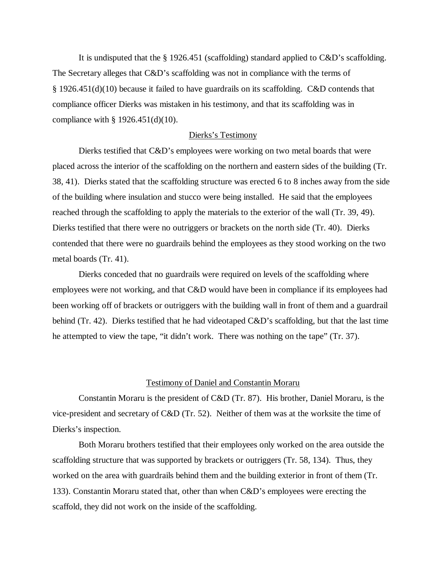It is undisputed that the § 1926.451 (scaffolding) standard applied to C&D's scaffolding. The Secretary alleges that C&D's scaffolding was not in compliance with the terms of § 1926.451(d)(10) because it failed to have guardrails on its scaffolding. C&D contends that compliance officer Dierks was mistaken in his testimony, and that its scaffolding was in compliance with § 1926.451(d)(10).

#### Dierks's Testimony

Dierks testified that C&D's employees were working on two metal boards that were placed across the interior of the scaffolding on the northern and eastern sides of the building (Tr. 38, 41). Dierks stated that the scaffolding structure was erected 6 to 8 inches away from the side of the building where insulation and stucco were being installed. He said that the employees reached through the scaffolding to apply the materials to the exterior of the wall (Tr. 39, 49). Dierks testified that there were no outriggers or brackets on the north side (Tr. 40). Dierks contended that there were no guardrails behind the employees as they stood working on the two metal boards (Tr. 41).

Dierks conceded that no guardrails were required on levels of the scaffolding where employees were not working, and that C&D would have been in compliance if its employees had been working off of brackets or outriggers with the building wall in front of them and a guardrail behind (Tr. 42). Dierks testified that he had videotaped C&D's scaffolding, but that the last time he attempted to view the tape, "it didn't work. There was nothing on the tape" (Tr. 37).

## Testimony of Daniel and Constantin Moraru

Constantin Moraru is the president of C&D (Tr. 87). His brother, Daniel Moraru, is the vice-president and secretary of C&D (Tr. 52). Neither of them was at the worksite the time of Dierks's inspection.

Both Moraru brothers testified that their employees only worked on the area outside the scaffolding structure that was supported by brackets or outriggers (Tr. 58, 134). Thus, they worked on the area with guardrails behind them and the building exterior in front of them (Tr. 133). Constantin Moraru stated that, other than when C&D's employees were erecting the scaffold, they did not work on the inside of the scaffolding.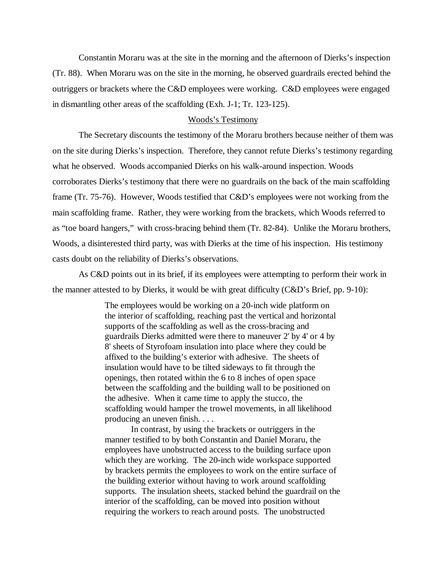Constantin Moraru was at the site in the morning and the afternoon of Dierks's inspection (Tr. 88). When Moraru was on the site in the morning, he observed guardrails erected behind the outriggers or brackets where the C&D employees were working. C&D employees were engaged in dismantling other areas of the scaffolding (Exh. J-1; Tr. 123-125).

## Woods's Testimony

The Secretary discounts the testimony of the Moraru brothers because neither of them was on the site during Dierks's inspection. Therefore, they cannot refute Dierks's testimony regarding what he observed. Woods accompanied Dierks on his walk-around inspection. Woods corroborates Dierks's testimony that there were no guardrails on the back of the main scaffolding frame (Tr. 75-76). However, Woods testified that C&D's employees were not working from the main scaffolding frame. Rather, they were working from the brackets, which Woods referred to as "toe board hangers," with cross-bracing behind them (Tr. 82-84). Unlike the Moraru brothers, Woods, a disinterested third party, was with Dierks at the time of his inspection. His testimony casts doubt on the reliability of Dierks's observations.

As C&D points out in its brief, if its employees were attempting to perform their work in the manner attested to by Dierks, it would be with great difficulty  $(C&D's$  Brief, pp. 9-10):

> The employees would be working on a 20-inch wide platform on the interior of scaffolding, reaching past the vertical and horizontal supports of the scaffolding as well as the cross-bracing and guardrails Dierks admitted were there to maneuver 2' by 4' or 4 by 8' sheets of Styrofoam insulation into place where they could be affixed to the building's exterior with adhesive. The sheets of insulation would have to be tilted sideways to fit through the openings, then rotated within the 6 to 8 inches of open space between the scaffolding and the building wall to be positioned on the adhesive. When it came time to apply the stucco, the scaffolding would hamper the trowel movements, in all likelihood producing an uneven finish. . . .

In contrast, by using the brackets or outriggers in the manner testified to by both Constantin and Daniel Moraru, the employees have unobstructed access to the building surface upon which they are working. The 20-inch wide workspace supported by brackets permits the employees to work on the entire surface of the building exterior without having to work around scaffolding supports. The insulation sheets, stacked behind the guardrail on the interior of the scaffolding, can be moved into position without requiring the workers to reach around posts. The unobstructed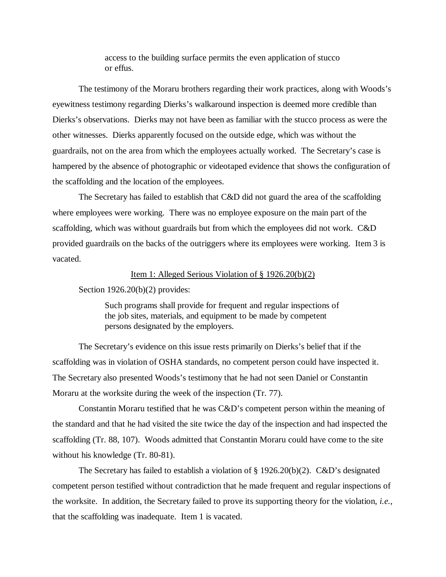access to the building surface permits the even application of stucco or effus.

The testimony of the Moraru brothers regarding their work practices, along with Woods's eyewitness testimony regarding Dierks's walkaround inspection is deemed more credible than Dierks's observations. Dierks may not have been as familiar with the stucco process as were the other witnesses. Dierks apparently focused on the outside edge, which was without the guardrails, not on the area from which the employees actually worked. The Secretary's case is hampered by the absence of photographic or videotaped evidence that shows the configuration of the scaffolding and the location of the employees.

The Secretary has failed to establish that C&D did not guard the area of the scaffolding where employees were working. There was no employee exposure on the main part of the scaffolding, which was without guardrails but from which the employees did not work. C&D provided guardrails on the backs of the outriggers where its employees were working. Item 3 is vacated.

#### Item 1: Alleged Serious Violation of § 1926.20(b)(2)

## Section 1926.20(b)(2) provides:

Such programs shall provide for frequent and regular inspections of the job sites, materials, and equipment to be made by competent persons designated by the employers.

The Secretary's evidence on this issue rests primarily on Dierks's belief that if the scaffolding was in violation of OSHA standards, no competent person could have inspected it. The Secretary also presented Woods's testimony that he had not seen Daniel or Constantin Moraru at the worksite during the week of the inspection (Tr. 77).

Constantin Moraru testified that he was C&D's competent person within the meaning of the standard and that he had visited the site twice the day of the inspection and had inspected the scaffolding (Tr. 88, 107). Woods admitted that Constantin Moraru could have come to the site without his knowledge (Tr. 80-81).

The Secretary has failed to establish a violation of  $\S 1926.20(b)(2)$ . C&D's designated competent person testified without contradiction that he made frequent and regular inspections of the worksite. In addition, the Secretary failed to prove its supporting theory for the violation, *i.e.*, that the scaffolding was inadequate. Item 1 is vacated.